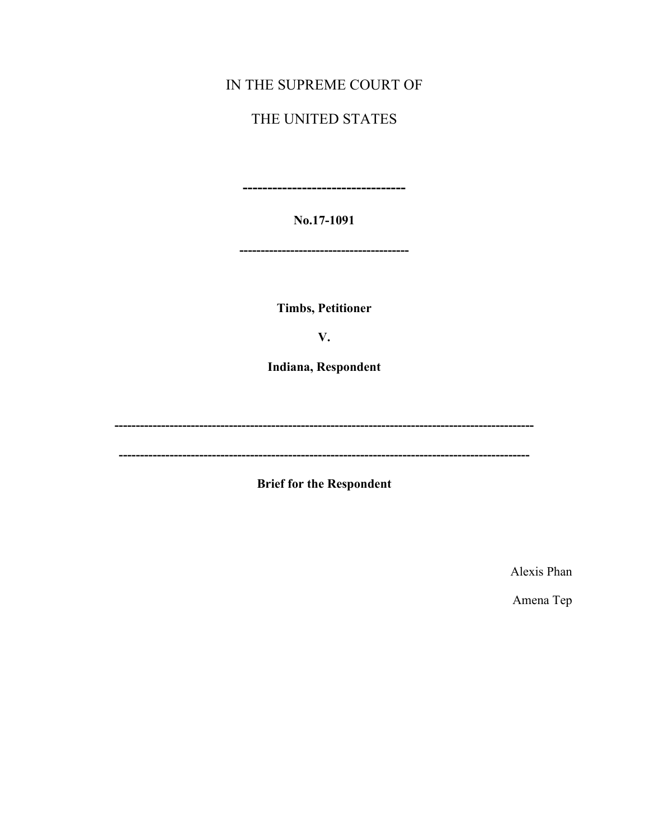# IN THE SUPREME COURT OF

# THE UNITED STATES

-----------------------------

No.17-1091

-------------------------------------

**Timbs, Petitioner** 

V.

Indiana, Respondent

**Brief for the Respondent** 

Alexis Phan

Amena Tep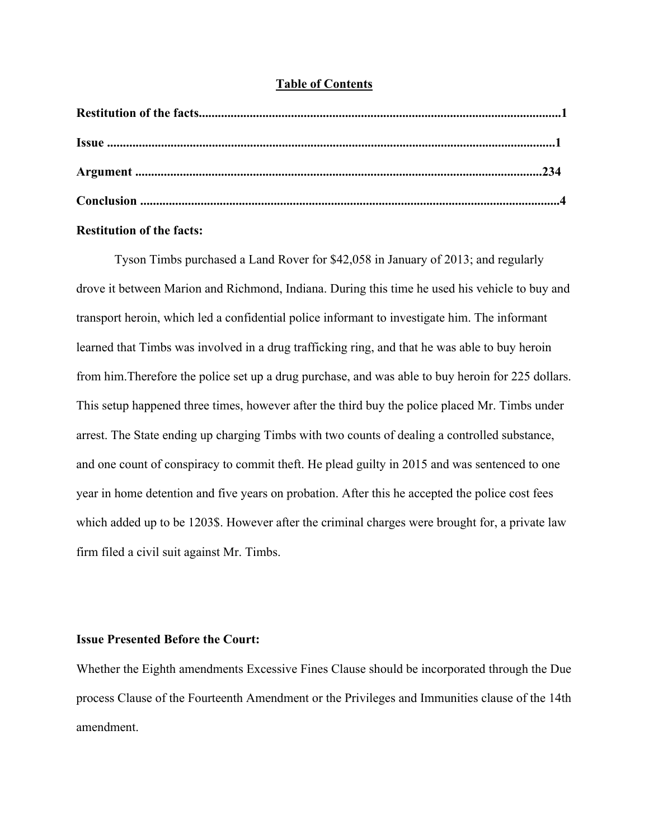### **Table of Contents**

## **Restitution of the facts:**

Tyson Timbs purchased a Land Rover for \$42,058 in January of 2013; and regularly drove it between Marion and Richmond, Indiana. During this time he used his vehicle to buy and transport heroin, which led a confidential police informant to investigate him. The informant learned that Timbs was involved in a drug trafficking ring, and that he was able to buy heroin from him.Therefore the police set up a drug purchase, and was able to buy heroin for 225 dollars. This setup happened three times, however after the third buy the police placed Mr. Timbs under arrest. The State ending up charging Timbs with two counts of dealing a controlled substance, and one count of conspiracy to commit theft. He plead guilty in 2015 and was sentenced to one year in home detention and five years on probation. After this he accepted the police cost fees which added up to be 1203\$. However after the criminal charges were brought for, a private law firm filed a civil suit against Mr. Timbs.

### **Issue Presented Before the Court:**

Whether the Eighth amendments Excessive Fines Clause should be incorporated through the Due process Clause of the Fourteenth Amendment or the Privileges and Immunities clause of the 14th amendment.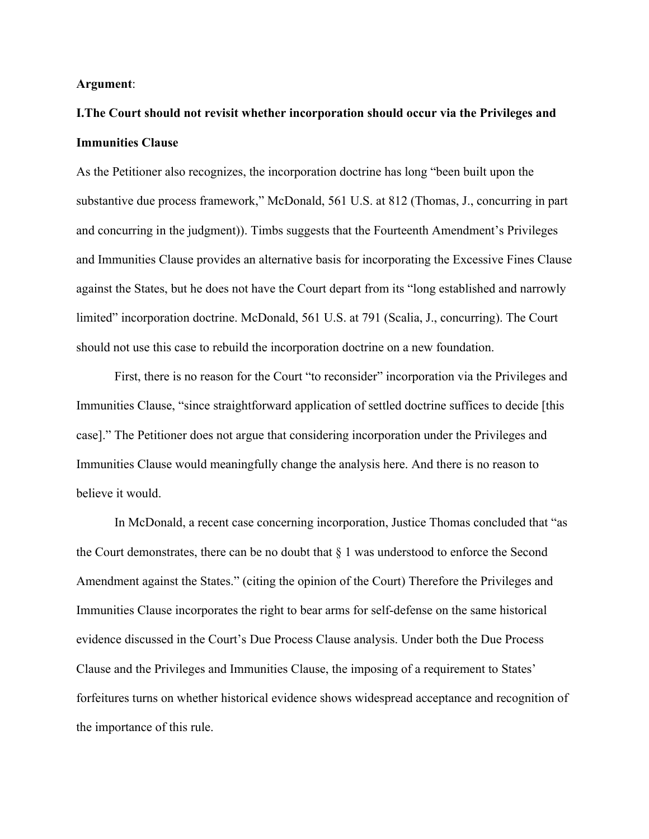#### **Argument**:

# **I.The Court should not revisit whether incorporation should occur via the Privileges and Immunities Clause**

As the Petitioner also recognizes, the incorporation doctrine has long "been built upon the substantive due process framework," McDonald, 561 U.S. at 812 (Thomas, J., concurring in part and concurring in the judgment)). Timbs suggests that the Fourteenth Amendment's Privileges and Immunities Clause provides an alternative basis for incorporating the Excessive Fines Clause against the States, but he does not have the Court depart from its "long established and narrowly limited" incorporation doctrine. McDonald, 561 U.S. at 791 (Scalia, J., concurring). The Court should not use this case to rebuild the incorporation doctrine on a new foundation.

First, there is no reason for the Court "to reconsider" incorporation via the Privileges and Immunities Clause, "since straightforward application of settled doctrine suffices to decide [this case]." The Petitioner does not argue that considering incorporation under the Privileges and Immunities Clause would meaningfully change the analysis here. And there is no reason to believe it would.

In McDonald, a recent case concerning incorporation, Justice Thomas concluded that "as the Court demonstrates, there can be no doubt that § 1 was understood to enforce the Second Amendment against the States." (citing the opinion of the Court) Therefore the Privileges and Immunities Clause incorporates the right to bear arms for self-defense on the same historical evidence discussed in the Court's Due Process Clause analysis. Under both the Due Process Clause and the Privileges and Immunities Clause, the imposing of a requirement to States' forfeitures turns on whether historical evidence shows widespread acceptance and recognition of the importance of this rule.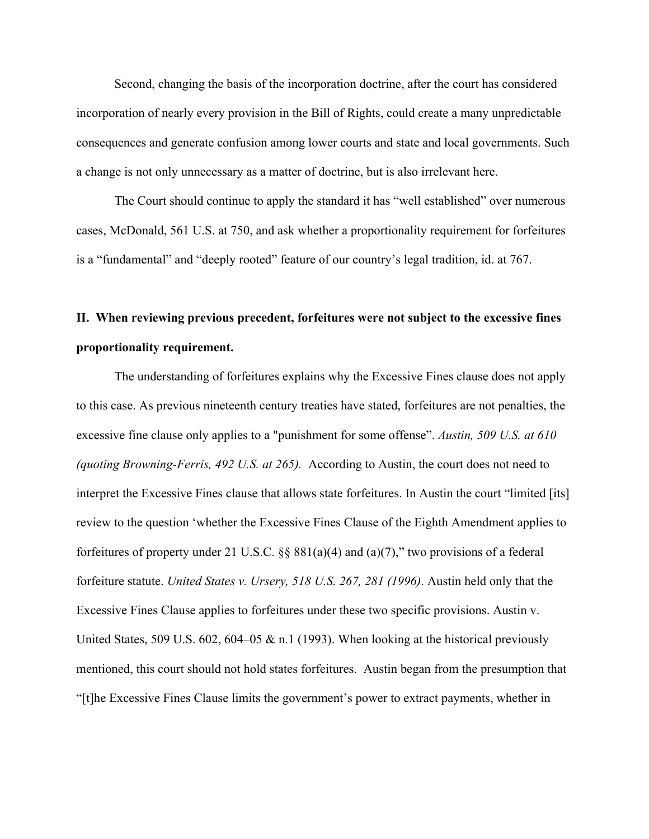Second, changing the basis of the incorporation doctrine, after the court has considered incorporation of nearly every provision in the Bill of Rights, could create a many unpredictable consequences and generate confusion among lower courts and state and local governments. Such a change is not only unnecessary as a matter of doctrine, but is also irrelevant here.

The Court should continue to apply the standard it has "well established" over numerous cases, McDonald, 561 U.S. at 750, and ask whether a proportionality requirement for forfeitures is a "fundamental" and "deeply rooted" feature of our country's legal tradition, id. at 767.

# **II. When reviewing previous precedent, forfeitures were not subject to the excessive fines proportionality requirement.**

The understanding of forfeitures explains why the Excessive Fines clause does not apply to this case. As previous nineteenth century treaties have stated, forfeitures are not penalties, the excessive fine clause only applies to a "punishment for some offense". *Austin, 509 U.S. at 610 (quoting Browning-Ferris, 492 U.S. at 265).* According to Austin, the court does not need to interpret the Excessive Fines clause that allows state forfeitures. In Austin the court "limited [its] review to the question 'whether the Excessive Fines Clause of the Eighth Amendment applies to forfeitures of property under 21 U.S.C.  $\S$ § 881(a)(4) and (a)(7)," two provisions of a federal forfeiture statute. *United States v. Ursery, 518 U.S. 267, 281 (1996)*. Austin held only that the Excessive Fines Clause applies to forfeitures under these two specific provisions. Austin v. United States, 509 U.S. 602, 604–05 & n.1 (1993). When looking at the historical previously mentioned, this court should not hold states forfeitures. Austin began from the presumption that "[t]he Excessive Fines Clause limits the government's power to extract payments, whether in